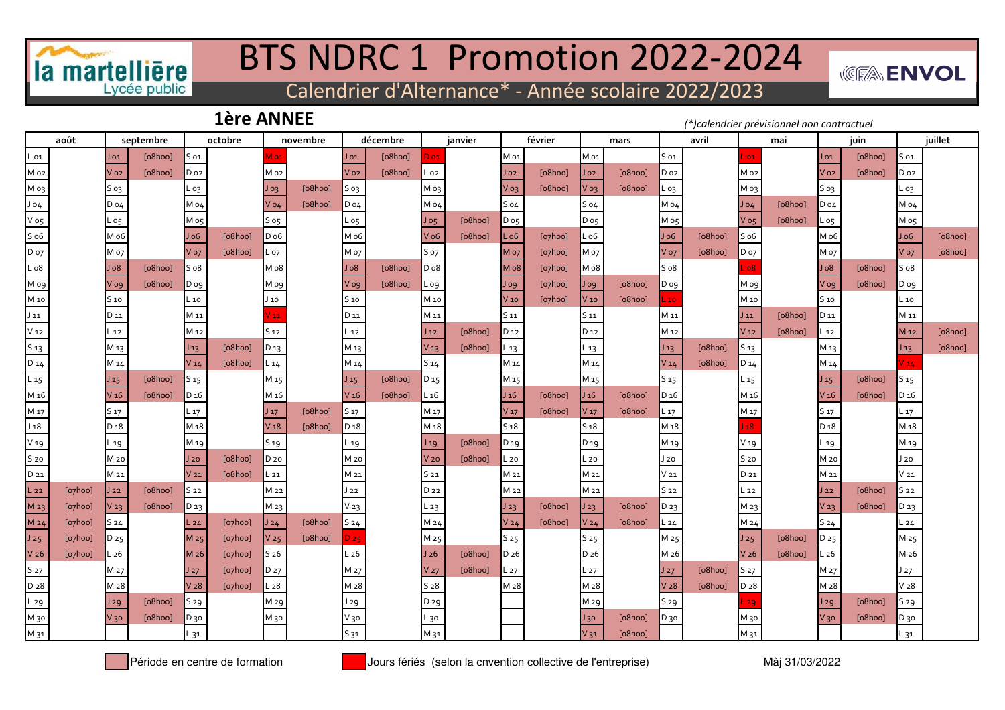

## BTS NDRC 1 Promotion 2022-2024

*<b>WEEA* **ENVOL** 

Calendrier d'Alternance\* - Année scolaire 2022/2023

**1ère ANNEE**

*(\*)calendrier prévisionnel non contractuel*

|                  | août                   |                  | septembre |                   | octobre                |                 | novembre |                  | décembre |                 | janvier |                  | février                |                  | mars    |                 | avril   |                  | mai     |                   | juin    |                 | juillet |
|------------------|------------------------|------------------|-----------|-------------------|------------------------|-----------------|----------|------------------|----------|-----------------|---------|------------------|------------------------|------------------|---------|-----------------|---------|------------------|---------|-------------------|---------|-----------------|---------|
| L 01             |                        | J 01             | [o8hoo]   | S 01              |                        | /I 01           |          | $J_{01}$         | [o8hoo]  | 0 <sub>0</sub>  |         | M 01             |                        | M 01             |         | $S_{01}$        |         | .01              |         | $J_{01}$          | [o8hoo] | S 01            |         |
| Mo <sub>2</sub>  |                        | V o2             | [o8hoo]   | D 02              |                        | M 02            |          | Vo <sub>2</sub>  | [o8hoo]  | L 02            |         | Jo2              | [o8hoo]                | $J_{02}$         | [o8hoo] | Do <sub>2</sub> |         | M 02             |         | Vo <sub>2</sub>   | [o8hoo] | D 02            |         |
| M 03             |                        | $S$ 03           |           | L оз              |                        | $J_{03}$        | [o8hoo]  | S o3             |          | M 03            |         | $V_{03}$         | [o8hoo]                | V 03             | [o8hoo] | L 03            |         | M <sub>o3</sub>  |         | $S$ 03            |         | - 03            |         |
| J 04             |                        | $D_04$           |           | M 04              |                        | $V$ 04          | [o8hoo]  | D 04             |          | M 04            |         | $S_04$           |                        | S 04             |         | M 04            |         | $J_{04}$         | [o8hoo] | $D_04$            |         | M 04            |         |
| V o5             |                        | L 05             |           | Mo <sub>5</sub>   |                        | $S_{05}$        |          | L 05             |          | $J_{05}$        | [o8hoo] | $D_{05}$         |                        | $D_{05}$         |         | M 05            |         | $V$ 05           | [o8hoo] | L 05              |         | M 05            |         |
| S <sub>06</sub>  |                        | M o6             |           | J <sub>06</sub>   | [o8hoo]                | $D_{06}$        |          | M o6             |          | $V$ o6          | [o8hoo] | $L_{06}$         | [o7hoo]                | L o6             |         | J 06            | [o8hoo] | S <sub>06</sub>  |         | M 06              |         | Jo6             | [o8hoo] |
| D <sub>07</sub>  |                        | M 07             |           | <b>V</b> 07       | [o8hoo]                | L 07            |          | M o7             |          | S 07            |         | M <sub>o7</sub>  | [o7hoo]                | M 07             |         | <b>V</b> 07     | [o8hoo] | $D_{07}$         |         | M 07              |         | <b>V</b> 07     | [o8hoo] |
| L <sub>08</sub>  |                        | Jo8              | [o8hoo]   | S <sub>08</sub>   |                        | Mo8             |          | 8 <sub>0</sub>   | [o8hoo]  | $D_08$          |         | Mo <sub>8</sub>  | [o7hoo]                | M o8             |         | S <sub>08</sub> |         | .08              |         | JoO               | [o8hoo] | 508             |         |
| M og             |                        | V og             | [o8hoo]   | D og              |                        | M og            |          | V og             | [o8hoo]  | L 09            |         | $J$ 09           | $[o$ <sub>7</sub> hoo] | J og             | [o8hoo] | $D$ 09          |         | M og             |         | V og              | [o8hoo] | D og            |         |
| M 10             |                        | S <sub>10</sub>  |           | $\mathsf{L}\,$ 10 |                        | $J_{10}$        |          | S 10             |          | M 10            |         | V <sub>10</sub>  | $[o7$ hoo $]$          | V10              | [o8hoo] | 10              |         | M 10             |         | S 10              |         | $-10$           |         |
| $J_{11}$         |                        | D 11             |           | M 11              |                        | 111             |          | D 11             |          | M 11            |         | S 11             |                        | S 11             |         | M 11            |         | $J_{11}$         | [o8hoo] | D 11              |         | M 11            |         |
| V <sub>12</sub>  |                        | L 12             |           | M <sub>12</sub>   |                        | S <sub>12</sub> |          | L 12             |          | $J_{12}$        | [o8hoo] | D <sub>12</sub>  |                        | D 12             |         | M 12            |         | V <sub>12</sub>  | [o8hoo] | $\mathsf{L}\,$ 12 |         | M <sub>12</sub> | [o8hoo] |
| S <sub>13</sub>  |                        | M 13             |           | J <sub>13</sub>   | [o8hoo]                | $D_{13}$        |          | M <sub>13</sub>  |          | V <sub>13</sub> | [o8hoo] | L 13             |                        | L 13             |         | $J_{13}$        | [o8hoo] | S <sub>13</sub>  |         | M <sub>13</sub>   |         | $J_{13}$        | [o8hoo] |
| D 14             |                        | M 14             |           | V14               | [o8hoo]                | $L_14$          |          | M 14             |          | 514             |         | M 14             |                        | M 14             |         | V <sub>14</sub> | [o8hoo] | $D_14$           |         | M 14              |         | V <sub>14</sub> |         |
| $L_{15}$         |                        | $J_{15}$         | [o8hoo]   | S 15              |                        | M <sub>15</sub> |          | $J_{15}$         | [o8hoo]  | D <sub>15</sub> |         | M 15             |                        | M <sub>15</sub>  |         | S <sub>15</sub> |         | L 15             |         | J <sub>15</sub>   | [o8hoo] | S 15            |         |
| M 16             |                        | V <sub>16</sub>  | [o8hoo]   | D <sub>16</sub>   |                        | M <sub>16</sub> |          | V <sub>16</sub>  | [o8hoo]  | $L_{16}$        |         | J <sub>16</sub>  | [o8hoo]                | J <sub>16</sub>  | [o8hoo] | D <sub>16</sub> |         | M <sub>16</sub>  |         | V <sub>16</sub>   | [o8hoo] | D <sub>16</sub> |         |
| M 17             |                        | S 17             |           | $L_{17}$          |                        | J <sub>17</sub> | [o8hoo]  | S <sub>17</sub>  |          | M 17            |         | V <sub>17</sub>  | [o8hoo]                | V <sub>17</sub>  | [o8hoo] | $L_{17}$        |         | M 17             |         | S 17              |         | L 17            |         |
| J <sub>18</sub>  |                        | D <sub>18</sub>  |           | M <sub>18</sub>   |                        | V <sub>18</sub> | [o8hoo]  | D <sub>18</sub>  |          | M <sub>18</sub> |         | 518              |                        | 518              |         | M <sub>18</sub> |         | 18               |         | D <sub>18</sub>   |         | M 18            |         |
| V <sub>19</sub>  |                        | L 19             |           | M <sub>19</sub>   |                        | S 19            |          | L 19             |          | $J_{19}$        | [o8hoo] | D 19             |                        | D 19             |         | M 19            |         | V <sub>19</sub>  |         | L 19              |         | M 19            |         |
| S <sub>20</sub>  |                        | M 20             |           | J20               | [o8hoo]                | D 20            |          | M 20             |          | V <sub>20</sub> | [o8hoo] | L 20             |                        | L 20             |         | J 20            |         | S <sub>20</sub>  |         | M 20              |         | $J_{20}$        |         |
| D 21             |                        | M 21             |           | V <sub>21</sub>   | [o8hoo]                | $L_{21}$        |          | M 21             |          | S 21            |         | M 21             |                        | M 21             |         | $V_{21}$        |         | D 21             |         | M 21              |         | V <sub>21</sub> |         |
| $L_{22}$         | $[o$ <sub>7</sub> hoo] | J22              | [o8hoo]   | S <sub>22</sub>   |                        | M 22            |          | J 22             |          | D 22            |         | M <sub>22</sub>  |                        | M 22             |         | S <sub>22</sub> |         | L 22             |         | $J_{22}$          | [o8hoo] | S <sub>22</sub> |         |
| M 23             | $[o$ <sub>7</sub> hoo] | V <sub>23</sub>  | [o8hoo]   | D 23              |                        | M 23            |          | $V_{23}$         |          | L 23            |         | $J_{23}$         | [o8hoo]                | J23              | [o8hoo] | D 23            |         | M 23             |         | V <sub>23</sub>   | [o8hoo] | D 23            |         |
| M 24             | $[o$ <sub>7</sub> hoo] | S <sub>24</sub>  |           | L 24              | [o7hoo]                | J24             | [o8hoo]  | S <sub>24</sub>  |          | M 24            |         | V <sub>24</sub>  | [o8hoo]                | V <sub>24</sub>  | [o8hoo] | L 24            |         | M 24             |         | S <sub>24</sub>   |         | L 24            |         |
| J25              | $[o$ <sub>7</sub> hoo] | D 25             |           | M <sub>25</sub>   | [o7hoo]                | V <sub>25</sub> | [o8hoo]  |                  |          | M 25            |         | S <sub>25</sub>  |                        | S 25             |         | M <sub>25</sub> |         | J25              | [o8hoo] | D <sub>25</sub>   |         | M 25            |         |
| V <sub>26</sub>  | $[o$ <sub>7</sub> hoo] | L <sub>26</sub>  |           | M <sub>26</sub>   | $[o$ <sub>7</sub> hoo] | S <sub>26</sub> |          | L <sub>26</sub>  |          | J <sub>26</sub> | [o8hoo] | D <sub>26</sub>  |                        | D <sub>2</sub> 6 |         | M <sub>26</sub> |         | V <sub>26</sub>  | [o8hoo] | $-26$             |         | M 26            |         |
| S 27             |                        | M 27             |           | J27               | [o7hoo]                | D 27            |          | M 27             |          | V <sub>27</sub> | [o8hoo] | L 27             |                        | L 27             |         | J27             | [o8hoo] | S 27             |         | M 27              |         | J27             |         |
| D <sub>2</sub> 8 |                        | M <sub>2</sub> 8 |           | V <sub>28</sub>   | [o7hoo]                | L <sub>28</sub> |          | M <sub>2</sub> 8 |          | S <sub>28</sub> |         | M <sub>2</sub> 8 |                        | M <sub>2</sub> 8 |         | V <sub>28</sub> | [o8hoo] | D <sub>2</sub> 8 |         | M <sub>2</sub> 8  |         | V <sub>28</sub> |         |
| L 29             |                        | J29              | [o8hoo]   | S 29              |                        | M 29            |          | J 29             |          | D 29            |         |                  |                        | M 29             |         | S 29            |         | 29               |         | J29               | [o8hoo] | S 29            |         |
| М 30             |                        | $V_3$            | [o8hoo]   | D 30              |                        | М зо            |          | V 30             |          | L 30            |         |                  |                        | J 30             | [o8hoo] | D 30            |         | М зо             |         | $V_3$             | [o8hoo] | D 30            |         |
| M 31             |                        |                  |           | L 31              |                        |                 |          | $S_{31}$         |          | M 31            |         |                  |                        | $V_31$           | [o8hoo] |                 |         | M 31             |         |                   |         | L 31            |         |